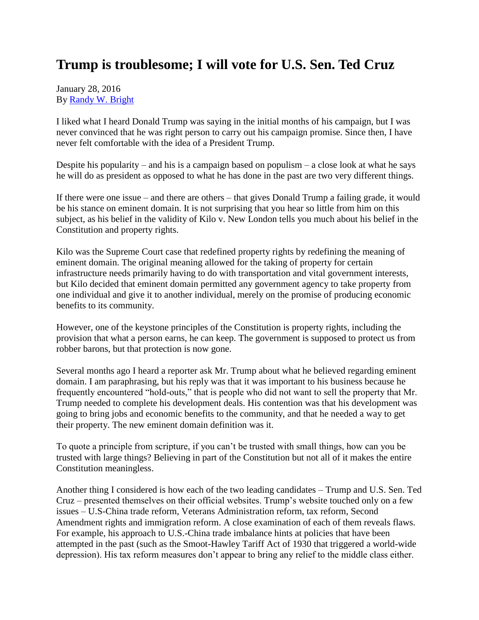## **Trump is troublesome; I will vote for U.S. Sen. Ted Cruz**

January 28, 2016 By [Randy W. Bright](http://www.tulsabeacon.com/author/slug-o6yd1v)

I liked what I heard Donald Trump was saying in the initial months of his campaign, but I was never convinced that he was right person to carry out his campaign promise. Since then, I have never felt comfortable with the idea of a President Trump.

Despite his popularity – and his is a campaign based on populism – a close look at what he says he will do as president as opposed to what he has done in the past are two very different things.

If there were one issue – and there are others – that gives Donald Trump a failing grade, it would be his stance on eminent domain. It is not surprising that you hear so little from him on this subject, as his belief in the validity of Kilo v. New London tells you much about his belief in the Constitution and property rights.

Kilo was the Supreme Court case that redefined property rights by redefining the meaning of eminent domain. The original meaning allowed for the taking of property for certain infrastructure needs primarily having to do with transportation and vital government interests, but Kilo decided that eminent domain permitted any government agency to take property from one individual and give it to another individual, merely on the promise of producing economic benefits to its community.

However, one of the keystone principles of the Constitution is property rights, including the provision that what a person earns, he can keep. The government is supposed to protect us from robber barons, but that protection is now gone.

Several months ago I heard a reporter ask Mr. Trump about what he believed regarding eminent domain. I am paraphrasing, but his reply was that it was important to his business because he frequently encountered "hold-outs," that is people who did not want to sell the property that Mr. Trump needed to complete his development deals. His contention was that his development was going to bring jobs and economic benefits to the community, and that he needed a way to get their property. The new eminent domain definition was it.

To quote a principle from scripture, if you can't be trusted with small things, how can you be trusted with large things? Believing in part of the Constitution but not all of it makes the entire Constitution meaningless.

Another thing I considered is how each of the two leading candidates – Trump and U.S. Sen. Ted Cruz – presented themselves on their official websites. Trump's website touched only on a few issues – U.S-China trade reform, Veterans Administration reform, tax reform, Second Amendment rights and immigration reform. A close examination of each of them reveals flaws. For example, his approach to U.S.-China trade imbalance hints at policies that have been attempted in the past (such as the Smoot-Hawley Tariff Act of 1930 that triggered a world-wide depression). His tax reform measures don't appear to bring any relief to the middle class either.